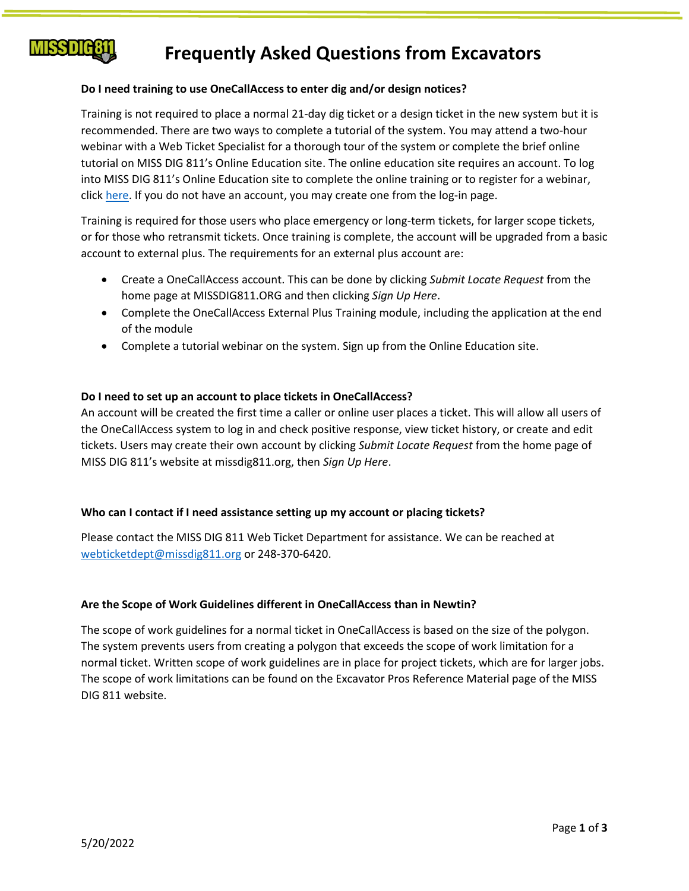

# **Frequently Asked Questions from Excavators**

# **Do I need training to use OneCallAccess to enter dig and/or design notices?**

Training is not required to place a normal 21-day dig ticket or a design ticket in the new system but it is recommended. There are two ways to complete a tutorial of the system. You may attend a two-hour webinar with a Web Ticket Specialist for a thorough tour of the system or complete the brief online tutorial on MISS DIG 811's Online Education site. The online education site requires an account. To log into MISS DIG 811's Online Education site to complete the online training or to register for a webinar, click [here.](https://missdig811.skillbuilder.co/sign-in) If you do not have an account, you may create one from the log-in page.

Training is required for those users who place emergency or long-term tickets, for larger scope tickets, or for those who retransmit tickets. Once training is complete, the account will be upgraded from a basic account to external plus. The requirements for an external plus account are:

- Create a OneCallAccess account. This can be done by clicking *Submit Locate Request* from the home page at MISSDIG811.ORG and then clicking *Sign Up Here*.
- Complete the OneCallAccess External Plus Training module, including the application at the end of the module
- Complete a tutorial webinar on the system. Sign up from the Online Education site.

# **Do I need to set up an account to place tickets in OneCallAccess?**

An account will be created the first time a caller or online user places a ticket. This will allow all users of the OneCallAccess system to log in and check positive response, view ticket history, or create and edit tickets. Users may create their own account by clicking *Submit Locate Request* from the home page of MISS DIG 811's website at missdig811.org, then *Sign Up Here*.

# **Who can I contact if I need assistance setting up my account or placing tickets?**

Please contact the MISS DIG 811 Web Ticket Department for assistance. We can be reached at [webticketdept@missdig811.org](mailto:webticketdept@missdig811.org) or 248-370-6420.

# **Are the Scope of Work Guidelines different in OneCallAccess than in Newtin?**

The scope of work guidelines for a normal ticket in OneCallAccess is based on the size of the polygon. The system prevents users from creating a polygon that exceeds the scope of work limitation for a normal ticket. Written scope of work guidelines are in place for project tickets, which are for larger jobs. The scope of work limitations can be found on the Excavator Pros Reference Material page of the MISS DIG 811 website.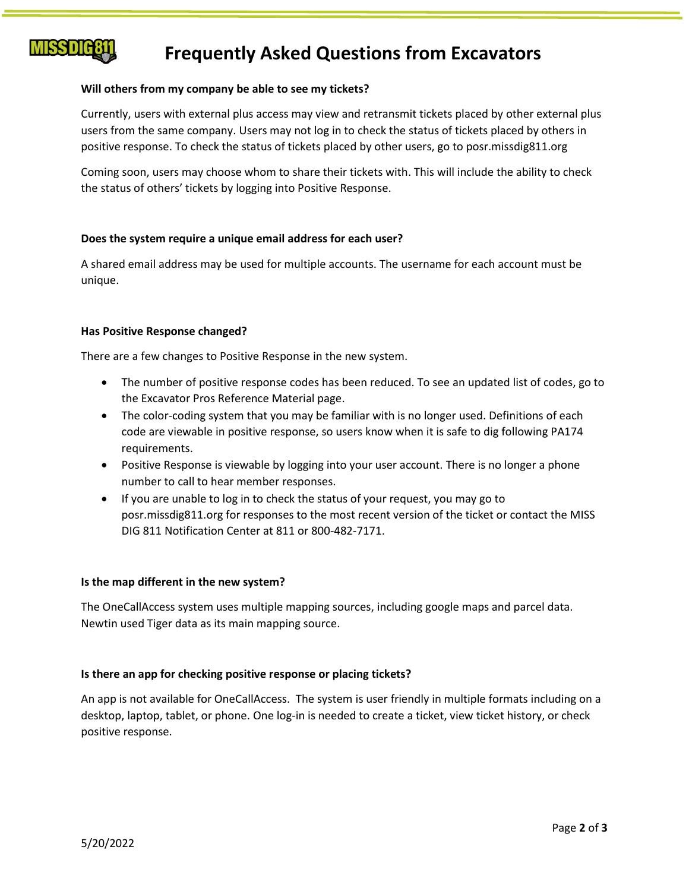# **MISS DIG8**

# **Frequently Asked Questions from Excavators**

# **Will others from my company be able to see my tickets?**

Currently, users with external plus access may view and retransmit tickets placed by other external plus users from the same company. Users may not log in to check the status of tickets placed by others in positive response. To check the status of tickets placed by other users, go to posr.missdig811.org

Coming soon, users may choose whom to share their tickets with. This will include the ability to check the status of others' tickets by logging into Positive Response.

# **Does the system require a unique email address for each user?**

A shared email address may be used for multiple accounts. The username for each account must be unique.

# **Has Positive Response changed?**

There are a few changes to Positive Response in the new system.

- The number of positive response codes has been reduced. To see an updated list of codes, go to the Excavator Pros Reference Material page.
- The color-coding system that you may be familiar with is no longer used. Definitions of each code are viewable in positive response, so users know when it is safe to dig following PA174 requirements.
- Positive Response is viewable by logging into your user account. There is no longer a phone number to call to hear member responses.
- If you are unable to log in to check the status of your request, you may go to posr.missdig811.org for responses to the most recent version of the ticket or contact the MISS DIG 811 Notification Center at 811 or 800-482-7171.

# **Is the map different in the new system?**

The OneCallAccess system uses multiple mapping sources, including google maps and parcel data. Newtin used Tiger data as its main mapping source.

# **Is there an app for checking positive response or placing tickets?**

An app is not available for OneCallAccess. The system is user friendly in multiple formats including on a desktop, laptop, tablet, or phone. One log-in is needed to create a ticket, view ticket history, or check positive response.